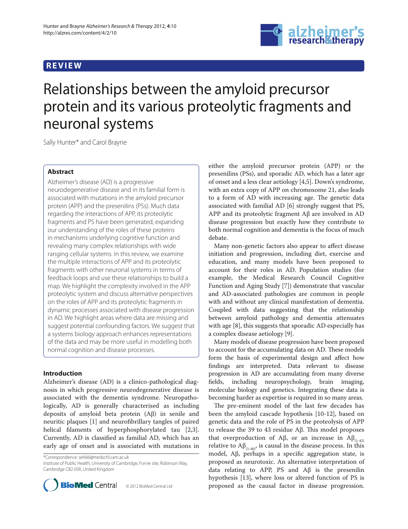## **REVIEW**



# Relationships between the amyloid precursor protein and its various proteolytic fragments and neuronal systems

Sally Hunter\* and Carol Brayne

## **Abstract**

Alzheimer's disease (AD) is a progressive neurodegenerative disease and in its familial form is associated with mutations in the amyloid precursor protein (APP) and the presenilins (PSs). Much data regarding the interactions of APP, its proteolytic fragments and PS have been generated, expanding our understanding of the roles of these proteins in mechanisms underlying cognitive function and revealing many complex relationships with wide ranging cellular systems. In this review, we examine the multiple interactions of APP and its proteolytic fragments with other neuronal systems in terms of feedback loops and use these relationships to build a map. We highlight the complexity involved in the APP proteolytic system and discuss alternative perspectives on the roles of APP and its proteolytic fragments in dynamic processes associated with disease progression in AD. We highlight areas where data are missing and suggest potential confounding factors. We suggest that a systems biology approach enhances representations of the data and may be more useful in modelling both normal cognition and disease processes.

## **Introduction**

Alzheimer's disease (AD) is a clinico-pathological diagnosis in which progressive neurodegenerative disease is associated with the dementia syndrome. Neuropathologically, AD is generally characterised as including deposits of amyloid beta protein (Aβ) in senile and neuritic plaques [1] and neurofibrillary tangles of paired helical filaments of hyperphosphorylated tau  $[2,3]$ . Currently, AD is classified as familial AD, which has an early age of onset and is associated with mutations in

\*Correspondence: seh66@medschl.cam.ac.uk

Institute of Public Health, University of Cambridge, Forvie site, Robinson Way, Cambridge CB2 0SR, United Kingdom



© 2012 BioMed Central Ltd

either the amyloid precursor protein (APP) or the presenilins (PSs), and sporadic AD, which has a later age of onset and a less clear aetiology [4,5]. Down's syndrome, with an extra copy of APP on chromosome 21, also leads to a form of AD with increasing age. The genetic data associated with familial AD [6] strongly suggest that PS, APP and its proteolytic fragment Aβ are involved in AD disease progression but exactly how they contribute to both normal cognition and dementia is the focus of much debate.

Many non-genetic factors also appear to affect disease initiation and progression, including diet, exercise and education, and many models have been proposed to account for their roles in AD. Population studies (for example, the Medical Research Council Cognitive Function and Aging Study [7]) demonstrate that vascular and AD-associated pathologies are common in people with and without any clinical manifestation of dementia. Coupled with data suggesting that the relationship between amyloid pathology and dementia attenuates with age [8], this suggests that sporadic AD especially has a complex disease aetiology [9].

Many models of disease progression have been proposed to account for the accumulating data on AD. These models form the basis of experimental design and affect how findings are interpreted. Data relevant to disease progression in AD are accumulating from many diverse fields, including neuropsychology, brain imaging, molecular biology and genetics. Integrating these data is becoming harder as expertise is required in so many areas.

The pre-eminent model of the last few decades has been the amyloid cascade hypothesis [10-12], based on genetic data and the role of PS in the proteolysis of APP to release the 39 to 43 residue  $\mathsf{A}\beta$ . This model proposes that overproduction of Aβ, or an increase in  $A\beta_{(1-42)}$ relative to  $A\beta_{(1-40)}$ , is causal in the disease process. In this model,  $A\beta$ , perhaps in a specific aggregation state, is proposed as neurotoxic. An alternative interpretation of data relating to APP, PS and Aβ is the presenilin hypothesis [13], where loss or altered function of PS is proposed as the causal factor in disease progression.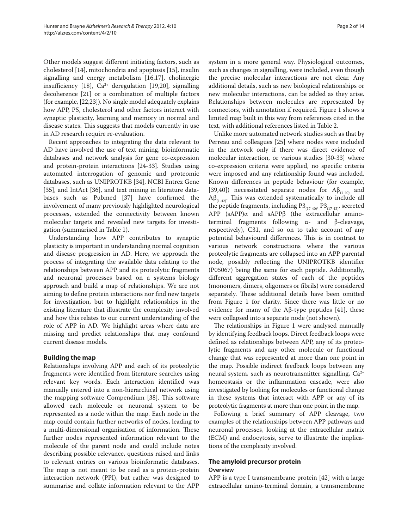Other models suggest different initiating factors, such as cholesterol [14], mitochondria and apoptosis [15], insulin signalling and energy metabolism [16,17], cholinergic insufficiency [18],  $Ca^{2+}$  deregulation [19,20], signalling decoherence [21] or a combination of multiple factors (for example, [22,23]). No single model adequately explains how APP, PS, cholesterol and other factors interact with synaptic plasticity, learning and memory in normal and disease states. This suggests that models currently in use in AD research require re-evaluation.

Recent approaches to integrating the data relevant to AD have involved the use of text mining, bioinformatic databases and network analysis for gene co-expression and protein-protein interactions [24-33]. Studies using automated interrogation of genomic and proteomic databases, such as UNIPROTKB [34], NCBI Entrez Gene [35], and IntAct [36], and text mining in literature databases such as Pubmed [37] have confirmed the involvement of many previously highlighted neurological processes, extended the connectivity between known molecular targets and revealed new targets for investigation (summarised in Table 1).

Understanding how APP contributes to synaptic plasticity is important in understanding normal cognition and disease progression in AD. Here, we approach the process of integrating the available data relating to the relationships between APP and its proteolytic fragments and neuronal processes based on a systems biology approach and build a map of relationships. We are not aiming to define protein interactions nor find new targets for investigation, but to highlight relationships in the existing literature that illustrate the complexity involved and how this relates to our current understanding of the role of APP in AD. We highlight areas where data are missing and predict relationships that may confound current disease models.

## **Building the map**

Relationships involving APP and each of its proteolytic fragments were identified from literature searches using relevant key words. Each interaction identified was manually entered into a non-hierarchical network using the mapping software Compendium [38]. This software allowed each molecule or neuronal system to be represented as a node within the map. Each node in the map could contain further networks of nodes, leading to a multi-dimensional organisation of information. These further nodes represented information relevant to the molecule of the parent node and could include notes describing possible relevance, questions raised and links to relevant entries on various bioinformatic databases. The map is not meant to be read as a protein-protein interaction network (PPI), but rather was designed to summarise and collate information relevant to the APP system in a more general way. Physiological outcomes, such as changes in signalling, were included, even though the precise molecular interactions are not clear. Any additional details, such as new biological relationships or new molecular interactions, can be added as they arise. Relationships between molecules are represented by connectors, with annotation if required. Figure 1 shows a limited map built in this way from references cited in the text, with additional references listed in Table 2.

Unlike more automated network studies such as that by Perreau and colleagues [25] where nodes were included in the network only if there was direct evidence of molecular interaction, or various studies [30-33] where co-expression criteria were applied, no specific criteria were imposed and any relationship found was included. Known differences in peptide behaviour (for example, [39,40]) necessitated separate nodes for  $A\beta_{(1.40)}$  and Aβ<sub>(1-42)</sub>. This was extended systematically to include all the peptide fragments, including  $P3_{(17-40)}$ ,  $P3_{(17-42)}$ , secreted APP (sAPP)α and sAPPβ (the extracellular aminoterminal fragments following α- and β-cleavage, respectively), C31, and so on to take account of any potential behavioural differences. This is in contrast to various network constructions where the various proteolytic fragments are collapsed into an APP parental node, possibly reflecting the UNIPROTKB identifier (P05067) being the same for each peptide. Additionally, different aggregation states of each of the peptides (monomers, dimers, oligomers or fibrils) were considered separately. These additional details have been omitted from Figure 1 for clarity. Since there was little or no evidence for many of the Aβ-type peptides  $[41]$ , these were collapsed into a separate node (not shown).

The relationships in Figure 1 were analysed manually by identifying feedback loops. Direct feedback loops were defined as relationships between APP, any of its proteolytic fragments and any other molecule or functional change that was represented at more than one point in the map. Possible indirect feedback loops between any neural system, such as neurotransmitter signalling, Ca2+ homeostasis or the inflammation cascade, were also investigated by looking for molecules or functional change in these systems that interact with APP or any of its proteolytic fragments at more than one point in the map.

Following a brief summary of APP cleavage, two examples of the relationships between APP pathways and neuronal processes, looking at the extracellular matrix (ECM) and endocytosis, serve to illustrate the implications of the complexity involved.

#### **The amyloid precursor protein Overview**

APP is a type I transmembrane protein [42] with a large extracellular amino-terminal domain, a transmembrane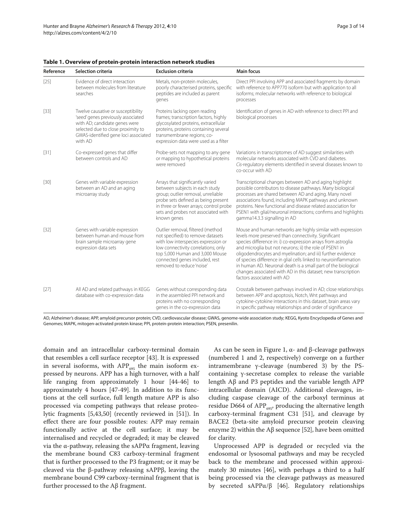| Reference | Selection criteria                                                                                                                                                                                 | <b>Exclusion criteria</b>                                                                                                                                                                                                                              | <b>Main focus</b>                                                                                                                                                                                                                                                                                                                                                                                                                                                                                                                                  |
|-----------|----------------------------------------------------------------------------------------------------------------------------------------------------------------------------------------------------|--------------------------------------------------------------------------------------------------------------------------------------------------------------------------------------------------------------------------------------------------------|----------------------------------------------------------------------------------------------------------------------------------------------------------------------------------------------------------------------------------------------------------------------------------------------------------------------------------------------------------------------------------------------------------------------------------------------------------------------------------------------------------------------------------------------------|
| $[25]$    | Evidence of direct interaction<br>between molecules from literature<br>searches                                                                                                                    | Metals, non-protein molecules,<br>poorly characterised proteins, specific<br>peptides are included as parent<br>genes                                                                                                                                  | Direct PPI involving APP and associated fragments by domain<br>with reference to APP770 isoform but with application to all<br>isoforms; molecular networks with reference to biological<br>processes                                                                                                                                                                                                                                                                                                                                              |
| $[33]$    | Twelve causative or susceptibility<br>'seed' genes previously associated<br>with AD; candidate genes were<br>selected due to close proximity to<br>GWAS-identified gene loci associated<br>with AD | Proteins lacking open reading<br>frames; transcription factors, highly<br>glycosylated proteins, extracellular<br>proteins, proteins containing several<br>transmembrane regions; co-<br>expression data were used as a filter                         | Identification of genes in AD with reference to direct PPI and<br>biological processes                                                                                                                                                                                                                                                                                                                                                                                                                                                             |
| $[31]$    | Co-expressed genes that differ<br>between controls and AD                                                                                                                                          | Probe-sets not mapping to any gene<br>or mapping to hypothetical proteins<br>were removed                                                                                                                                                              | Variations in transcriptomes of AD suggest similarities with<br>molecular networks associated with CVD and diabetes.<br>Cis-regulatory elements identified in several diseases known to<br>co-occur with AD                                                                                                                                                                                                                                                                                                                                        |
| $[30]$    | Genes with variable expression<br>between an AD and an aging<br>microarray study                                                                                                                   | Arrays that significantly varied<br>between subjects in each study<br>group; outlier removal, unreliable<br>probe sets defined as being present<br>in three or fewer arrays; control probe<br>sets and probes not associated with<br>known genes       | Transcriptional changes between AD and aging highlight<br>possible contributors to disease pathways. Many biological<br>processes are shared between AD and aging. Many novel<br>associations found, including MAPK pathways and unknown<br>proteins. New functional and disease related association for<br>PSEN1 with glial/neuronal interactions; confirms and highlights<br>gamma14.3.3 signalling in AD                                                                                                                                        |
| $[32]$    | Genes with variable expression<br>between human and mouse from<br>brain sample microarray gene<br>expression data sets                                                                             | Outlier removal, filtered (method<br>not specified) to remove datasets<br>with low interspecies expression or<br>low connectivity correlations; only<br>top 5,000 Human and 3,000 Mouse<br>connected genes included, rest<br>removed to reduce 'noise' | Mouse and human networks are highly similar with expression<br>levels more preserved than connectivity. Significant<br>species difference in: i) co-expression arrays from astroglia<br>and microglia but not neurons; ii) the role of PSEN1 in<br>oligodendrocytes and myelination; and iii) further evidence<br>of species difference in glial cells linked to neuroinflammation<br>in human AD. Neuronal death is a small part of the biological<br>changes associated with AD in this dataset; new transcription<br>factors associated with AD |
| $[27]$    | All AD and related pathways in KEGG<br>database with co-expression data                                                                                                                            | Genes without corresponding data<br>in the assembled PPI network and<br>proteins with no corresponding<br>genes in the co-expression data                                                                                                              | Crosstalk between pathways involved in AD; close relationships<br>between APP and apoptosis, Notch, Wnt pathways and<br>cytokine-cytokine interactions in this dataset, brain areas vary<br>in specific pathway relationships and order of significance                                                                                                                                                                                                                                                                                            |

**Table 1. Overview of protein-protein interaction network studies**

AD, Alzheimer's disease; APP, amyloid precursor protein; CVD, cardiovascular disease; GWAS, genome-wide association study; KEGG, Kyoto Encyclopedia of Genes and Genomes; MAPK, mitogen-activated protein kinase; PPI, protein-protein interaction; PSEN, presenilin.

domain and an intracellular carboxy-terminal domain that resembles a cell surface receptor [43]. It is expressed in several isoforms, with  $APP_{695}$  the main isoform expressed by neurons. APP has a high turnover, with a half life ranging from approximately 1 hour [44-46] to approximately 4 hours [47-49]. In addition to its functions at the cell surface, full length mature APP is also processed via competing pathways that release proteolytic fragments [5,43,50] (recently reviewed in [51]). In effect there are four possible routes: APP may remain functionally active at the cell surface; it may be internalised and recycled or degraded; it may be cleaved via the α-pathway, releasing the sAPPα fragment, leaving the membrane bound C83 carboxy-terminal fragment that is further processed to the P3 fragment; or it may be cleaved via the β-pathway releasing sAPPβ, leaving the membrane bound C99 carboxy-terminal fragment that is further processed to the Aβ fragment.

As can be seen in Figure 1,  $\alpha$ - and β-cleavage pathways (numbered 1 and 2, respectively) converge on a further intramembrane γ-cleavage (numbered 3) by the PScontaining γ-secretase complex to release the variable length Aβ and P3 peptides and the variable length APP intracellular domain (AICD). Additional cleavages, including caspase cleavage of the carboxyl terminus at residue D664 of APP $_{695}$ , producing the alternative length carboxy-terminal fragment C31 [51], and cleavage by BACE2 (beta-site amyloid precursor protein cleaving enzyme 2) within the A $\beta$  sequence [52], have been omitted for clarity.

Unprocessed APP is degraded or recycled via the endosomal or lysosomal pathways and may be recycled back to the membrane and processed within approximately 30 minutes [46], with perhaps a third to a half being processed via the cleavage pathways as measured by secreted sAPPα/β [46]. Regulatory relationships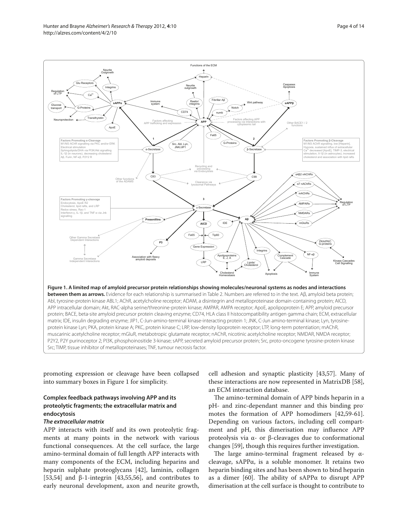

promoting expression or cleavage have been collapsed into summary boxes in Figure 1 for simplicity.

## **Complex feedback pathways involving APP and its proteolytic fragments; the extracellular matrix and endocytosis**

#### *The extracellular matrix*

APP interacts with itself and its own proteolytic fragments at many points in the network with various functional consequences. At the cell surface, the large amino-terminal domain of full length APP interacts with many components of the ECM, including heparins and heparin sulphate proteoglycans [42], laminin, collagen [53,54] and  $\beta$ -1-integrin [43,55,56], and contributes to early neuronal development, axon and neurite growth,

cell adhesion and synaptic plasticity [43,57]. Many of these interactions are now represented in MatrixDB [58], an ECM interaction database.

The amino-terminal domain of APP binds heparin in a pH- and zinc-dependant manner and this binding promotes the formation of APP homodimers [42,59-61]. Depending on various factors, including cell compartment and pH, this dimerisation may influence APP proteolysis via  $\alpha$ - or β-cleavages due to conformational changes [59], though this requires further investigation.

The large amino-terminal fragment released by  $\alpha$ cleavage, sAPPα, is a soluble monomer. It retains two heparin binding sites and has been shown to bind heparin as a dimer [60]. The ability of sAPP $\alpha$  to disrupt APP dimerisation at the cell surface is thought to contribute to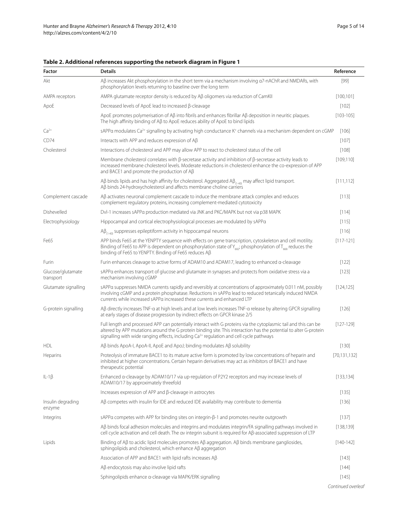## **Table 2. Additional references supporting the network diagram in Figure 1**

| Factor                         | <b>Details</b>                                                                                                                                                                                                                                                                                                                              | Reference      |
|--------------------------------|---------------------------------------------------------------------------------------------------------------------------------------------------------------------------------------------------------------------------------------------------------------------------------------------------------------------------------------------|----------------|
| Akt                            | Aß increases Akt phosphorylation in the short term via a mechanism involving a7-nAChR and NMDARs, with<br>phosphorylation levels returning to baseline over the long term                                                                                                                                                                   | $[99]$         |
| AMPA receptors                 | AMPA glutamate receptor density is reduced by Aß oligomers via reduction of CamKII                                                                                                                                                                                                                                                          | [100, 101]     |
| ApoE                           | Decreased levels of ApoE lead to increased ß-cleavage                                                                                                                                                                                                                                                                                       | $[102]$        |
|                                | ApoE promotes polymerisation of A $\beta$ into fibrils and enhances fibrillar A $\beta$ deposition in neuritic plaques.<br>The high affinity binding of Aß to ApoE reduces ability of ApoE to bind lipids                                                                                                                                   | $[103-105]$    |
| $Ca2+$                         | sAPPa modulates Ca <sup>2+</sup> signalling by activating high conductance K <sup>+</sup> channels via a mechanism dependent on cGMP                                                                                                                                                                                                        | $[106]$        |
| CD74                           | Interacts with APP and reduces expression of Aß                                                                                                                                                                                                                                                                                             | $[107]$        |
| Cholesterol                    | Interactions of cholesterol and APP may allow APP to react to cholesterol status of the cell                                                                                                                                                                                                                                                | [108]          |
|                                | Membrane cholesterol correlates with $\beta$ -secretase activity and inhibition of $\beta$ -secretase activity leads to<br>increased membrane cholesterol levels. Moderate reductions in cholesterol enhance the co-expression of APP<br>and BACE1 and promote the production of Aß                                                         | [109, 110]     |
|                                | Aß binds lipids and has high affinity for cholesterol. Aggregated $AB_{(1-40)}$ may affect lipid transport.<br>Aß binds 24-hydroxycholesterol and affects membrane choline carriers                                                                                                                                                         | [111, 112]     |
| Complement cascade             | Aß activates neuronal complement cascade to induce the membrane attack complex and reduces<br>complement regulatory proteins, increasing complement-mediated cytotoxicity                                                                                                                                                                   | [113]          |
| Dishevelled                    | Dvl-1 increases sAPPa production mediated via JNK and PKC/MAPK but not via p38 MAPK                                                                                                                                                                                                                                                         | [114]          |
| Electrophysiology              | Hippocampal and cortical electrophysiological processes are modulated by sAPPa                                                                                                                                                                                                                                                              | [115]          |
|                                | $AB_{(1-40)}$ suppresses epileptiform activity in hippocampal neurons                                                                                                                                                                                                                                                                       | [116]          |
| Fe65                           | APP binds Fe65 at the YENPTY sequence with effects on gene transcription, cytoskeleton and cell motility.<br>Binding of Fe65 to APP is dependent on phosphorylation state of $Y_{\text{cav}}$ ; phosphorylation of $T_{\text{cens}}$ reduces the<br>binding of Fe65 to YENPTY. Binding of Fe65 reduces Aß                                   | $[117 - 121]$  |
| Furin                          | Furin enhances cleavage to active forms of ADAM10 and ADAM17, leading to enhanced q-cleavage                                                                                                                                                                                                                                                | [122]          |
| Glucose/glutamate<br>transport | sAPPa enhances transport of glucose and glutamate in synapses and protects from oxidative stress via a<br>mechanism involving cGMP                                                                                                                                                                                                          | [123]          |
| Glutamate signalling           | sAPPa suppresses NMDA currents rapidly and reversibly at concentrations of approximately 0.011 nM, possibly<br>involving cGMP and a protein phosphatase. Reductions in sAPPa lead to reduced tetanically induced NMDA<br>currents while increased sAPPa increased these currents and enhanced LTP                                           | [124, 125]     |
| G-protein signalling           | Aß directly increases TNF-a at high levels and at low levels increases TNF-a release by altering GPCR signalling<br>at early stages of disease progression by indirect effects on GPCR kinase 2/5                                                                                                                                           | $[126]$        |
|                                | Full length and processed APP can potentially interact with G proteins via the cytoplasmic tail and this can be<br>altered by APP mutations around the G protein binding site. This interaction has the potential to alter G-protein<br>signalling with wide ranging effects, including Ca <sup>2+</sup> regulation and cell cycle pathways | $[127-129]$    |
| <b>HDL</b>                     | Aß binds ApoA-I, ApoA-II, ApoE and ApoJ; binding modulates Aß solubility                                                                                                                                                                                                                                                                    | [130]          |
| Heparins                       | Proteolysis of immature BACE1 to its mature active form is promoted by low concentrations of heparin and<br>inhibited at higher concentrations. Certain heparin derivatives may act as inhibitors of BACE1 and have<br>therapeutic potential                                                                                                | [70, 131, 132] |
| $IL-1\beta$                    | Enhanced a-cleavage by ADAM10/17 via up-regulation of P2Y2 receptors and may increase levels of<br>ADAM10/17 by approximately threefold                                                                                                                                                                                                     | [133, 134]     |
|                                | Increases expression of APP and $\beta$ -cleavage in astrocytes                                                                                                                                                                                                                                                                             | [135]          |
| Insulin degrading<br>enzyme    | AB competes with insulin for IDE and reduced IDE availability may contribute to dementia                                                                                                                                                                                                                                                    | [136]          |
| Integrins                      | sAPPα competes with APP for binding sites on integrin-β-1 and promotes neurite outgrowth                                                                                                                                                                                                                                                    | [137]          |
|                                | Aß binds focal adhesion molecules and integrins and modulates integrin/FA signalling pathways involved in<br>cell cycle activation and cell death. The av integrin subunit is required for Aß-associated suppression of LTP                                                                                                                 | [138, 139]     |
| Lipids                         | Binding of A $\beta$ to acidic lipid molecules promotes A $\beta$ aggregation. A $\beta$ binds membrane gangliosides,<br>sphingolipids and cholesterol, which enhance AB aggregation                                                                                                                                                        | $[140-142]$    |
|                                | Association of APP and BACE1 with lipid rafts increases Aß                                                                                                                                                                                                                                                                                  | $[143]$        |
|                                | $\Delta\beta$ endocytosis may also involve lipid rafts                                                                                                                                                                                                                                                                                      | $[144]$        |
|                                | Sphingolipids enhance q-cleavage via MAPK/ERK signalling                                                                                                                                                                                                                                                                                    | $[145]$        |

Continued overleaf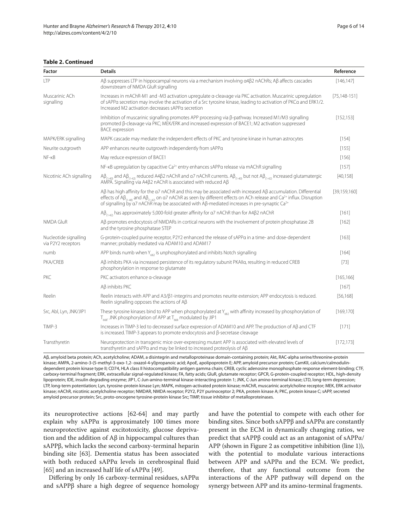#### **Table 2. Continued**

| <b>Factor</b>                               | <b>Details</b>                                                                                                                                                                                                                                                                                                                                                                                                       | Reference         |
|---------------------------------------------|----------------------------------------------------------------------------------------------------------------------------------------------------------------------------------------------------------------------------------------------------------------------------------------------------------------------------------------------------------------------------------------------------------------------|-------------------|
| <b>ITP</b>                                  | Aß suppresses LTP in hippocampal neurons via a mechanism involving $\alpha$ 4β2 nAChRs; Aß affects cascades<br>downstream of NMDA GluR signalling                                                                                                                                                                                                                                                                    | [146, 147]        |
| Muscarinic ACh<br>signalling                | Increases in mAChR-M1 and -M3 activation upregulate g-cleavage via PKC activation. Muscarinic upregulation<br>of sAPPa secretion may involve the activation of a Src tyrosine kinase, leading to activation of PKCa and ERK1/2.<br>Increased M2 activation decreases sAPPa secretion                                                                                                                                 | $[75, 148 - 151]$ |
|                                             | Inhibition of muscarinic signalling promotes APP processing via $\beta$ -pathway. Increased M1/M3 signalling<br>promoted β-cleavage via PKC; MEK/ERK and increased expression of BACE1; M2 activation suppressed<br><b>BACE</b> expression                                                                                                                                                                           | [152, 153]        |
| MAPK/ERK signalling                         | MAPK cascade may mediate the independent effects of PKC and tyrosine kinase in human astrocytes                                                                                                                                                                                                                                                                                                                      | $[154]$           |
| Neurite outgrowth                           | APP enhances neurite outgrowth independently from sAPPa                                                                                                                                                                                                                                                                                                                                                              | [155]             |
| $NF - KB$                                   | May reduce expression of BACE1                                                                                                                                                                                                                                                                                                                                                                                       | $[156]$           |
|                                             | NF-kB upregulation by capacitive Ca <sup>2+</sup> entry enhances sAPPa release via mAChR signalling                                                                                                                                                                                                                                                                                                                  | [157]             |
| Nicotinic ACh signalling                    | $AB_{(1\rightarrow 0)}$ and $AB_{(1\rightarrow 2)}$ reduced A4 $\beta$ 2 nAChR and $\alpha$ 7 nAChR currents. $AB_{(1\rightarrow 0)}$ but not $AB_{(1\rightarrow 2)}$ increased glutamatergic AMPA. Signalling via A4 $\beta$ 2 nAChR is associated with reduced $AB$                                                                                                                                                | [40, 158]         |
|                                             | A $\beta$ has high affinity for the $\alpha$ 7 nAChR and this may be associated with increased A $\beta$ accumulation. Differential<br>effects of A $\beta_{(140)}$ and A $\beta_{(142)}$ on $\alpha$ 7 nAChR as seen by different effects on ACh release and Ca <sup>2+</sup> influx. Disruption<br>of signalling by $\alpha$ 7 nAChR may be associated with Aß-mediated increases in pre-synaptic Ca <sup>2+</sup> | [39, 159, 160]    |
|                                             | $AB_{(1-4)}$ has approximately 5,000-fold greater affinity for $\alpha$ 7 nAChR than for A4 $\beta$ 2 nAChR                                                                                                                                                                                                                                                                                                          | [161]             |
| <b>NMDA GluR</b>                            | Aß promotes endocytosis of NMDARs in cortical neurons with the involvement of protein phosphatase 2B<br>and the tyrosine phosphatase STEP                                                                                                                                                                                                                                                                            | [162]             |
| Nucleotide signalling<br>via P2Y2 receptors | G-protein-coupled purine receptor, P2Y2 enhanced the release of sAPPa in a time- and dose-dependent<br>manner; probably mediated via ADAM10 and ADAM17                                                                                                                                                                                                                                                               | [163]             |
| numb                                        | APP binds numb when $Y_{682}$ is unphosphorylated and inhibits Notch signalling                                                                                                                                                                                                                                                                                                                                      | [164]             |
| PKA/CREB                                    | Aß inhibits PKA via increased persistence of its regulatory subunit PKAIIa, resulting in reduced CREB<br>phosphorylation in response to glutamate                                                                                                                                                                                                                                                                    | $[73]$            |
| PKC                                         | PKC activators enhance a-cleavage                                                                                                                                                                                                                                                                                                                                                                                    | [165, 166]        |
|                                             | $A\beta$ inhibits PKC                                                                                                                                                                                                                                                                                                                                                                                                | [167]             |
| Reelin                                      | Reelin interacts with APP and $A3/\beta1$ -integrins and promotes neurite extension; APP endocytosis is reduced.<br>Reelin signalling opposes the actions of $A\beta$                                                                                                                                                                                                                                                | [56, 168]         |
| Src, Abl, Lyn, JNK/JIP1                     | These tyrosine kinases bind to APP when phosphorylated at Y <sub>682</sub> with affinity increased by phosphorylation of<br>$T_{668}$ . JNK phosphorylation of APP at $T_{668}$ modulated by JIP1                                                                                                                                                                                                                    | [169, 170]        |
| TIMP-3                                      | Increases in TIMP-3 led to decreased surface expression of ADAM10 and APP. The production of AB and CTF<br>is increased. TIMP-3 appears to promote endocytosis and $\beta$ -secretase cleavage                                                                                                                                                                                                                       | [171]             |
| Transthyretin                               | Neuroprotection in transgenic mice over-expressing mutant APP is associated with elevated levels of<br>transthyretin and sAPPa and may be linked to increased proteolysis of Aß                                                                                                                                                                                                                                      | [172, 173]        |

Aβ, amyloid beta protein; ACh, acetylcholine; ADAM, a disintegrin and metalloproteinase domain-containing protein; Akt, RAC-alpha serine/threonine-protein kinase; AMPA, 2-amino-3-(5-methyl-3-oxo-1,2- oxazol-4-yl)propanoic acid; ApoE, apolipoprotein E; APP, amyloid precursor protein; CamKII, calcium/calmodulindependent protein kinase type II; CD74, HLA class II histocompatibility antigen gamma chain; CREB, cyclic adenosine monophosphate response element-binding; CTF, carboxy-terminal fragment; ERK, extracellular signal-regulated kinase; FA, fatty acids; GluR, glutamate receptor; GPCR, G-protein-coupled receptor; HDL, high-density lipoprotein; IDE, insulin degrading enzyme; JIP1, C-Jun-amino-terminal kinase-interacting protein 1; JNK, C-Jun amino-terminal kinase; LTD, long-term depression; LTP, long-term potentiation; Lyn, tyrosine-protein kinase Lyn; MAPK, mitogen-activated protein kinase; mAChR, muscarinic acetylcholine receptor; MEK, ERK activator kinase; nAChR, nicotinic acetylcholine receptor; NMDAR, NMDA receptor; P2Y2, P2Y purinoceptor 2; PKA, protein kinase A; PKC, protein kinase C; sAPP, secreted amyloid precursor protein; Src, proto-oncogene tyrosine-protein kinase Src; TIMP, tissue inhibitor of metalloproteinases.

its neuroprotective actions [62-64] and may partly explain why sAPP $\alpha$  is approximately 100 times more neuroprotective against excitotoxicity, glucose deprivation and the addition of  $Aβ$  in hippocampal cultures than sAPPβ, which lacks the second carboxy-terminal heparin binding site [63]. Dementia status has been associated with both reduced sAPP $\alpha$  levels in cerebrospinal fluid [65] and an increased half life of sAPP $\alpha$  [49].

Differing by only 16 carboxy-terminal residues, sAPP $\alpha$ and sAPPβ share a high degree of sequence homology

and have the potential to compete with each other for binding sites. Since both sAPPβ and sAPPα are constantly present in the ECM in dynamically changing ratios, we predict that sAPPβ could act as an antagonist of sAPPα/ APP (shown in Figure 2 as competitive inhibition (line 1)), with the potential to modulate various interactions between APP and sAPPα and the ECM. We predict, therefore, that any functional outcome from the interactions of the APP pathway will depend on the synergy between APP and its amino-terminal fragments.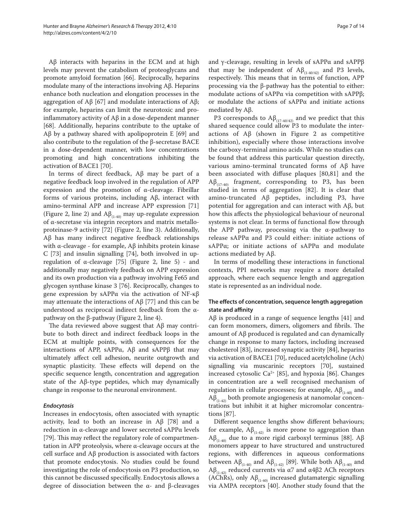Aβ interacts with heparins in the ECM and at high levels may prevent the catabolism of proteoglycans and promote amyloid formation [66]. Reciprocally, heparins modulate many of the interactions involving Aβ. Heparins enhance both nucleation and elongation processes in the aggregation of  $\text{A}\beta$  [67] and modulate interactions of  $\text{A}\beta$ ; for example, heparins can limit the neurotoxic and proinflammatory activity of Aβ in a dose-dependent manner [68]. Additionally, heparins contribute to the uptake of Aβ by a pathway shared with apolipoprotein E [69] and also contribute to the regulation of the β-secretase BACE in a dose-dependent manner, with low concentrations promoting and high concentrations inhibiting the activation of BACE1 [70].

In terms of direct feedback, Aβ may be part of a negative feedback loop involved in the regulation of APP expression and the promotion of α-cleavage. Fibrillar forms of various proteins, including Aβ, interact with amino-terminal APP and increase APP expression [71] (Figure 2, line 2) and  $A\beta_{(1-40)}$  may up-regulate expression of α-secretase via integrin receptors and matrix metalloproteinase-9 activity [72] (Figure 2, line 3). Additionally, Aβ has many indirect negative feedback relationships with α-cleavage - for example, Aβ inhibits protein kinase C [73] and insulin signalling [74], both involved in upregulation of α-cleavage [75] (Figure 2, line 5) - and additionally may negatively feedback on APP expression and its own production via a pathway involving Fe65 and glycogen synthase kinase 3 [76]. Reciprocally, changes to gene expression by sAPPα via the activation of NF-κβ may attenuate the interactions of Aβ [77] and this can be understood as reciprocal indirect feedback from the αpathway on the β-pathway (Figure 2, line 4).

The data reviewed above suggest that  $A\beta$  may contribute to both direct and indirect feedback loops in the ECM at multiple points, with consequences for the interactions of APP, sAPPα, Aβ and sAPPβ that may ultimately affect cell adhesion, neurite outgrowth and synaptic plasticity. These effects will depend on the specific sequence length, concentration and aggregation state of the Aβ-type peptides, which may dynamically change in response to the neuronal environment.

## *Endocytosis*

Increases in endocytosis, often associated with synaptic activity, lead to both an increase in Aβ [78] and a reduction in α-cleavage and lower secreted sAPPα levels [79]. This may reflect the regulatory role of compartmentation in APP proteolysis, where α-cleavage occurs at the cell surface and Aβ production is associated with factors that promote endocytosis. No studies could be found investigating the role of endocytosis on P3 production, so this cannot be discussed specifically. Endocytosis allows a degree of dissociation between the  $\alpha$ - and β-cleavages and γ-cleavage, resulting in levels of sAPPα and sAPPβ that may be independent of  $A\beta_{(1-40/42)}$  and P3 levels, respectively. This means that in terms of function, APP processing via the β-pathway has the potential to either: modulate actions of sAPPα via competition with sAPPβ; or modulate the actions of sAPPα and initiate actions mediated by Aβ.

P3 corresponds to  $A\beta_{(17-40/42)}$  and we predict that this shared sequence could allow P3 to modulate the interactions of Aβ (shown in Figure 2 as competitive inhibition), especially where those interactions involve the carboxy-terminal amino acids. While no studies can be found that address this particular question directly, various amino-terminal truncated forms of Aβ have been associated with diffuse plaques  $[80,81]$  and the  $A\beta_{(17-40)}$  fragment, corresponding to P3, has been studied in terms of aggregation [82]. It is clear that amino-truncated Aβ peptides, including P3, have potential for aggregation and can interact with Aβ, but how this affects the physiological behaviour of neuronal systems is not clear. In terms of functional flow through the APP pathway, processing via the α-pathway to release sAPPα and P3 could either: initiate actions of sAPPα; or initiate actions of sAPPα and modulate actions mediated by Aβ.

In terms of modelling these interactions in functional contexts, PPI networks may require a more detailed approach, where each sequence length and aggregation state is represented as an individual node.

## The effects of concentration, sequence length aggregation **state and affinity**

Aβ is produced in a range of sequence lengths [41] and can form monomers, dimers, oligomers and fibrils. The amount of Aβ produced is regulated and can dynamically change in response to many factors, including increased cholesterol [83], increased synaptic activity [84], heparins via activation of BACE1 [70], reduced acetylcholine (Ach) signalling via muscarinic receptors [70], sustained increased cytosolic Ca<sup>2+</sup> [85], and hypoxia [86]. Changes in concentration are a well recognised mechanism of regulation in cellular processes; for example,  $\text{A}\beta_{(1-40)}$  and  $A\beta_{(1-42)}$  both promote angiogenesis at nanomolar concentrations but inhibit it at higher micromolar concentrations [87].

Different sequence lengths show different behaviours; for example,  $A\beta_{(1-42)}$  is more prone to aggregation than Aβ<sub>(1-40)</sub> due to a more rigid carboxyl terminus [88]. Aβ monomers appear to have structured and unstructured regions, with differences in aqueous conformations between  $A\beta_{(1-40)}$  and  $A\beta_{(1-42)}$  [89]. While both  $A\beta_{(1-40)}$  and Aβ<sub>(1-42)</sub> reduced currents via α7 and α4β2 ACh receptors (AChRs), only  $A\beta_{(1-40)}$  increased glutamatergic signalling via AMPA receptors [40]. Another study found that the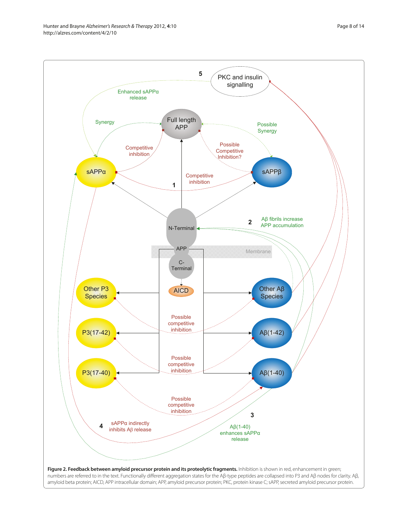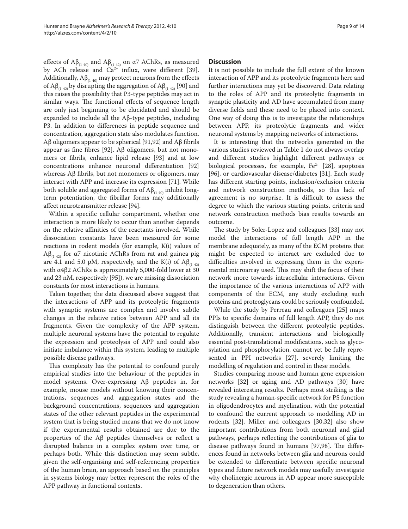effects of Aβ<sub>(1-40)</sub> and Aβ<sub>(1-42)</sub> on α7 AChRs, as measured by ACh release and  $Ca^{2+}$  influx, were different [39]. Additionally,  $A\beta_{(1-40)}$  may protect neurons from the effects of Aβ<sub>(1-42)</sub> by disrupting the aggregation of Aβ<sub>(1-42)</sub> [90] and this raises the possibility that P3-type peptides may act in similar ways. The functional effects of sequence length are only just beginning to be elucidated and should be expanded to include all the Aβ-type peptides, including P3. In addition to differences in peptide sequence and concentration, aggregation state also modulates function. Aβ oligomers appear to be spherical [91,92] and Aβ fibrils appear as fine fibres [92]. A $\beta$  oligomers, but not monomers or fibrils, enhance lipid release [93] and at low concentrations enhance neuronal differentiation [92] whereas  $\overrightarrow{AB}$  fibrils, but not monomers or oligomers, may interact with APP and increase its expression [71]. While both soluble and aggregated forms of  $\text{A}\beta_{(1-40)}$  inhibit longterm potentiation, the fibrillar forms may additionally affect neurotransmitter release [94].

Within a specific cellular compartment, whether one interaction is more likely to occur than another depends on the relative affinities of the reactants involved. While dissociation constants have been measured for some reactions in rodent models (for example, K(i) values of Aβ<sub>(1-42)</sub> for α7 nicotinic AChRs from rat and guinea pig are 4.1 and 5.0 pM, respectively, and the K(i) of  $\mathcal{AB}_{(1-42)}$ with  $α4β2$  AChRs is approximately 5,000-fold lower at 30 and 23 nM, respectively [95]), we are missing dissociation constants for most interactions in humans.

Taken together, the data discussed above suggest that the interactions of APP and its proteolytic fragments with synaptic systems are complex and involve subtle changes in the relative ratios between APP and all its fragments. Given the complexity of the APP system, multiple neuronal systems have the potential to regulate the expression and proteolysis of APP and could also initiate imbalance within this system, leading to multiple possible disease pathways.

This complexity has the potential to confound purely empirical studies into the behaviour of the peptides in model systems. Over-expressing Aβ peptides in, for example, mouse models without knowing their concentrations, sequences and aggregation states and the background concentrations, sequences and aggregation states of the other relevant peptides in the experimental system that is being studied means that we do not know if the experimental results obtained are due to the properties of the  $\mathsf{A}\beta$  peptides themselves or reflect a disrupted balance in a complex system over time, or perhaps both. While this distinction may seem subtle, given the self-organising and self-referencing properties of the human brain, an approach based on the principles in systems biology may better represent the roles of the APP pathway in functional contexts.

## **Discussion**

It is not possible to include the full extent of the known interaction of APP and its proteolytic fragments here and further interactions may yet be discovered. Data relating to the roles of APP and its proteolytic fragments in synaptic plasticity and AD have accumulated from many diverse fields and these need to be placed into context. One way of doing this is to investigate the relationships between APP, its proteolytic fragments and wider neuronal systems by mapping networks of interactions.

It is interesting that the networks generated in the various studies reviewed in Table 1 do not always overlap and different studies highlight different pathways or biological processes, for example,  $Fe^{2+}$  [28], apoptosis [96], or cardiovascular disease/diabetes [31]. Each study has different starting points, inclusion/exclusion criteria and network construction methods, so this lack of agreement is no surprise. It is difficult to assess the degree to which the various starting points, criteria and network construction methods bias results towards an outcome.

The study by Soler-Lopez and colleagues [33] may not model the interactions of full length APP in the membrane adequately, as many of the ECM proteins that might be expected to interact are excluded due to difficulties involved in expressing them in the experimental microarray used. This may shift the focus of their network more towards intracellular interactions. Given the importance of the various interactions of APP with components of the ECM, any study excluding such proteins and proteoglycans could be seriously confounded.

While the study by Perreau and colleagues [25] maps PPIs to specific domains of full length APP, they do not distinguish between the different proteolytic peptides. Additionally, transient interactions and biologically essential post-translational modifications, such as glycosylation and phosphorylation, cannot yet be fully represented in PPI networks [27], severely limiting the modelling of regulation and control in these models.

Studies comparing mouse and human gene expression networks [32] or aging and AD pathways [30] have revealed interesting results. Perhaps most striking is the study revealing a human-specific network for PS function in oligodendrocytes and myelination, with the potential to confound the current approach to modelling AD in rodents [32]. Miller and colleagues [30,32] also show important contributions from both neuronal and glial pathways, perhaps reflecting the contributions of glia to disease pathways found in humans [97,98]. The differences found in networks between glia and neurons could be extended to differentiate between specific neuronal types and future network models may usefully investigate why cholinergic neurons in AD appear more susceptible to degeneration than others.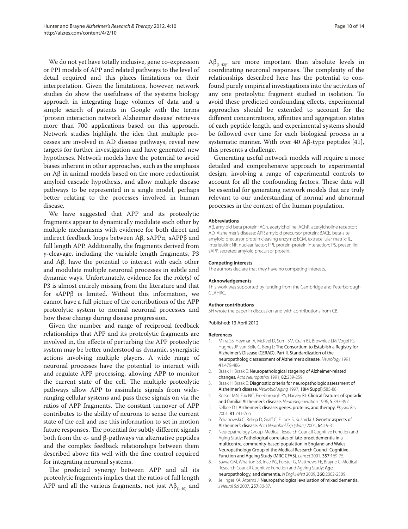We do not yet have totally inclusive, gene co-expression or PPI models of APP and related pathways to the level of detail required and this places limitations on their interpretation. Given the limitations, however, network studies do show the usefulness of the systems biology approach in integrating huge volumes of data and a simple search of patents in Google with the terms 'protein interaction network Alzheimer disease' retrieves more than 700 applications based on this approach. Network studies highlight the idea that multiple processes are involved in AD disease pathways, reveal new targets for further investigation and have generated new hypotheses. Network models have the potential to avoid biases inherent in other approaches, such as the emphasis on Aβ in animal models based on the more reductionist amyloid cascade hypothesis, and allow multiple disease pathways to be represented in a single model, perhaps better relating to the processes involved in human disease.

We have suggested that APP and its proteolytic fragments appear to dynamically modulate each other by multiple mechanisms with evidence for both direct and indirect feedback loops between Aβ, sAPPα, sAPPβ and full length APP. Additionally, the fragments derived from γ-cleavage, including the variable length fragments, P3 and Aβ, have the potential to interact with each other and modulate multiple neuronal processes in subtle and dynamic ways. Unfortunately, evidence for the role(s) of P3 is almost entirely missing from the literature and that for sAPPβ is limited. Without this information, we cannot have a full picture of the contributions of the APP proteolytic system to normal neuronal processes and how these change during disease progression.

Given the number and range of reciprocal feedback relationships that APP and its proteolytic fragments are involved in, the effects of perturbing the APP proteolytic system may be better understood as dynamic, synergistic actions involving multiple players. A wide range of neuronal processes have the potential to interact with and regulate APP processing, allowing APP to monitor the current state of the cell. The multiple proteolytic pathways allow APP to assimilate signals from wideranging cellular systems and pass these signals on via the ratios of APP fragments. The constant turnover of APP contributes to the ability of neurons to sense the current state of the cell and use this information to set in motion future responses. The potential for subtly different signals both from the α- and β-pathways via alternative peptides and the complex feedback relationships between them described above fits well with the fine control required for integrating neuronal systems.

The predicted synergy between APP and all its proteolytic fragments implies that the ratios of full length APP and all the various fragments, not just  $A\beta_{(1-40)}$  and  $A\beta_{(1,42)}$ , are more important than absolute levels in coordinating neuronal responses. The complexity of the relationships described here has the potential to confound purely empirical investigations into the activities of any one proteolytic fragment studied in isolation. To avoid these predicted confounding effects, experimental approaches should be extended to account for the different concentrations, affinities and aggregation states of each peptide length, and experimental systems should be followed over time for each biological process in a systematic manner. With over 40 Aβ-type peptides [41], this presents a challenge.

Generating useful network models will require a more detailed and comprehensive approach to experimental design, involving a range of experimental controls to account for all the confounding factors. These data will be essential for generating network models that are truly relevant to our understanding of normal and abnormal processes in the context of the human population.

#### **Abbreviations**

Aβ, amyloid beta protein; ACh, acetylcholine; AChR, acetylcholine receptor; AD, Alzheimer's disease; APP, amyloid precursor protein; BACE, beta-site amyloid precursor protein cleaving enzyme; ECM, extracellular matrix; IL, interleukin; NF, nuclear factor; PPI, protein-protein interaction; PS, presenilin; sAPP, secreted amyloid precursor protein.

#### **Competing interests**

The authors declare that they have no competing interests.

#### **Acknowledgements**

This work was supported by funding from the Cambridge and Peterborough CLAHRC.

#### **Author contributions**

SH wrote the paper in discussion and with contributions from CB.

Published: 13 April 2012

#### **References**

- 1. Mirra SS, Heyman A, McKeel D, Sumi SM, Crain BJ, Brownlee LM, Vogel FS, Hughes JP, van Belle G, Berg L: The Consortium to Establish a Registry for Alzheimer's Disease (CERAD). Part II. Standardization of the neuropathologic assessment of Alzheimer's disease. Neurology 1991, 41:479-486.
- 2. Braak H, Braak E: Neuropathological stageing of Alzheimer-related changes. Acta Neuropathol 1991, 82:239-259.
- 3. Braak H, Braak E: Diagnostic criteria for neuropathologic assessment of Alzheimer's disease. Neurobiol Aging 1997, 18(4 Suppl):S85-88.
- 4. Rossor MN, Fox NC, Freeborough PA, Harvey RJ: Clinical features of sporadic and familial Alzheimer's disease. Neurodegeneration 1996, 5:393-397
- 5. Selkoe DJ: Alzheimer's disease: genes, proteins, and therapy. Physiol Rev 2001, 81:741-766.
- 6. Zekanowski C, Religa D, Graff C, Filipek S, Kuźnicki J: Genetic aspects of Alzheimer's disease. Acta Neurobiol Exp (Wars) 2004, 64:19-31.
- 7. Neuropathology Group. Medical Research Council Cognitive Function and Aging Study: Pathological correlates of late-onset dementia in a multicentre, community-based population in England and Wales. Neuropathology Group of the Medical Research Council Cognitive Function and Ageing Study (MRC CFAS). Lancet 2001, 357:169-75.
- 8. Savva GM, Wharton SB, Ince PG, Forster G, Matthews FE, Brayne C; Medical Research Council Cognitive Function and Ageing Study: Age, neuropathology, and dementia. N Engl J Med 2009, 360:2302-2309.
- 9. Jellinger KA, Attems J: Neuropathological evaluation of mixed dementia. J Neurol Sci 2007, 257:80-87.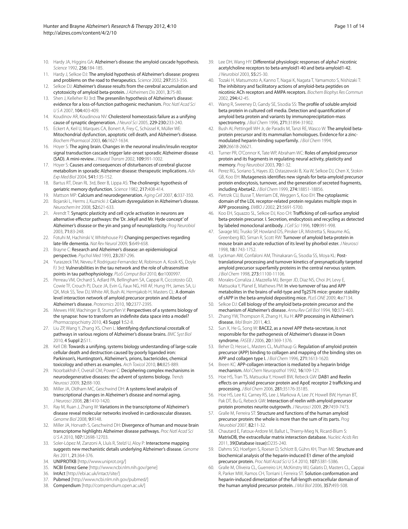- 10. Hardy JA, Higgins GA: Alzheimer's disease: the amyloid cascade hypothesis. Science 1992, 256:184-185.
- 11. Hardy J, Selkoe DJ: The amyloid hypothesis of Alzheimer's disease: progress and problems on the road to therapeutics. Science 2002, 297:353-356.
- 12. Selkoe DJ: Alzheimer's disease results from the cerebral accumulation and cytotoxicity of amyloid beta-protein. J Alzheimers Dis 2001, 3:75-80.
- 13. Shen J, Kelleher RJ 3rd: The presenilin hypothesis of Alzheimer's disease: evidence for a loss-of-function pathogenic mechanism. Proc Natl Acad Sci U S A 2007, 104:403-409.
- 14. Koudinov AR, Koudinova NV: Cholesterol homeostasis failure as a unifying cause of synaptic degeneration. J Neurol Sci 2005, 229-230:233-240.
- 15. Eckert A, Keil U, Marques CA, Bonert A, Frey C, Schüssel K, Müller WE: Mitochondrial dysfunction, apoptotic cell death, and Alzheimer's disease. Biochem Pharmacol 2003, 66:1627-1634.
- 16. Hoyer S: The aging brain. Changes in the neuronal insulin/insulin receptor signal transduction cascade trigger late-onset sporadic Alzheimer disease (SAD). A mini-review. J Neural Transm 2002, 109:991-1002.
- 17. Hoyer S: Causes and consequences of disturbances of cerebral glucose metabolism in sporadic Alzheimer disease: therapeutic implications. Adv Exp Med Biol 2004, 541:135-152.
- 18. Bartus RT, Dean RL 3rd, Beer B, Lippa AS: The cholinergic hypothesis of geriatric memory dysfunction. Science 1982, 217:408-414.
- 19. Mattson MP: Calcium and neurodegeneration. Aging Cell 2007, 6:337-350.
- 20. Bojarski L, Herms J, Kuznicki J: Calcium dysregulation in Alzheimer's disease. Neurochem Int 2008, 52:621-633.
- 21. Arendt T: Synaptic plasticity and cell cycle activation in neurons are alternative effector pathways: the 'Dr. Jekyll and Mr. Hyde concept' of Alzheimer's disease or the yin and yang of neuroplasticity. Prog Neurobiol 2003, 71:83-248.
- 22. Fotuhi M, Hachinski V, Whitehouse PJ: Changing perspectives regarding late-life dementia. Nat Rev Neurol 2009, 5:649-658.
- 23. Brayne C: Research and Alzheimer's disease: an epidemiological perspective. Psychol Med 1993, 23:287-296.
- 24. Yuraszeck TM, Neveu P, Rodriguez-Fernandez M, Robinson A, Kosik KS, Doyle FJ 3rd: Vulnerabilities in the tau network and the role of ultrasensitive points in tau pathophysiology. PLoS Comput Biol 2010, 6:e1000997.
- 25. Perreau VM, Orchard S, Adlard PA, Bellingham SA, Cappai R, Ciccotosto GD, Cowie TF, Crouch PJ, Duce JA, Evin G, Faux NG, Hill AF, Hung YH, James SA, Li QX, Mok SS, Tew DJ, White AR, Bush AI, Hermjakob H, Masters CL: A domain level interaction network of amyloid precursor protein and Abeta of Alzheimer's disease. Proteomics 2010, 10:2377-2395.
- 26. Mewes HW, Wachinger B, Stumpflen V: Perspectives of a systems biology of the synapse: how to transform an indefinite data space into a model? Pharmacopsychiatry 2010, 43 Suppl 1:S2-8.
- 27. Liu ZP, Wang Y, Zhang XS, Chen L: Identifying dysfunctional crosstalk of pathways in various regions of Alzheimer's disease brains. BMC Syst Biol 2010, 4 Suppl 2:S11.
- 28. Kell DB: Towards a unifying, systems biology understanding of large-scale cellular death and destruction caused by poorly liganded iron: Parkinson's, Huntington's, Alzheimer's, prions, bactericides, chemical toxicology and others as examples. Arch Toxicol 2010, 84:825-889.
- 29. Noorbakhsh F, Overall CM, Power C: Deciphering complex mechanisms in neurodegenerative diseases: the advent of systems biology. Trends Neurosci 2009, 32:88-100.
- 30. Miller JA, Oldham MC, Geschwind DH: A systems level analysis of transcriptional changes in Alzheimer's disease and normal aging. J Neurosci 2008, 28:1410-1420.
- 31. Ray M, Ruan J, Zhang W: Variations in the transcriptome of Alzheimer's disease reveal molecular networks involved in cardiovascular diseases. Genome Biol 2008, 9:R148.
- 32. Miller JA, Horvath S, Geschwind DH: Divergence of human and mouse brain transcriptome highlights Alzheimer disease pathways. Proc Natl Acad Sci U S A 2010, 107:12698-12703.
- 33. Soler-López M, Zanzoni A, Lluís R, Stelzl U, Aloy P: Interactome mapping suggests new mechanistic details underlying Alzheimer's disease. Genome Res 2011, 21:364-376.
- 34. UNIPROTKB [http://www.uniprot.org/]
- 35. NCBI Entrez Gene [http://www.ncbi.nlm.nih.gov/gene]
- 36. IntAct [http://ebi.ac.uk/intact/site/]
- 37. Pubmed [http://www.ncbi.nlm.nih.gov/pubmed/]
- 38. Compendium [http://compendium.open.ac.uk/]
- 39. Lee DH, Wang HY: Differential physiologic responses of alpha7 nicotinic acetylcholine receptors to beta-amyloid1-40 and beta-amyloid1-42. J Neurobiol 2003, 55:25-30.
- 40. Tozaki H, Matsumoto A, Kanno T, Nagai K, Nagata T, Yamamoto S, Nishizaki T: The inhibitory and facilitatory actions of amyloid-beta peptides on nicotinic ACh receptors and AMPA receptors. Biochem Biophys Res Commun 2002, 294:42-45.
- 41. Wang R, Sweeney D, Gandy SE, Sisodia SS: The profile of soluble amyloid beta protein in cultured cell media. Detection and quantification of amyloid beta protein and variants by immunoprecipitation-mass spectrometry. J Biol Chem 1996, 271:31894-31902.
- 42. Bush AI, Pettingell WH Jr, de Paradis M, Tanzi RE, Wasco W: The amyloid betaprotein precursor and its mammalian homologues. Evidence for a zincmodulated heparin-binding superfamily. J Biol Chem 1994, 269:26618-26621.
- 43. Turner PR, O'Connor K, Tate WP, Abraham WC: Roles of amyloid precursor protein and its fragments in regulating neural activity, plasticity and memory. Prog Neurobiol 2003, 70:1-32.
- 44. Perez RG, Soriano S, Hayes JD, Ostaszewski B, Xia W, Selkoe DJ, Chen X, Stokin GB, Koo EH: Mutagenesis identifies new signals for beta-amyloid precursor protein endocytosis, turnover, and the generation of secreted fragments, including Abeta42. J Biol Chem 1999, 274:18851-18856.
- 45. Pietrzik CU, Busse T, Merriam DE, Weggen S, Koo EH: The cytoplasmic domain of the LDL receptor-related protein regulates multiple steps in APP processing. EMBO J 2002, 21:5691-5700.
- 46. Koo EH, Squazzo SL, Selkoe DJ, Koo CH: Trafficking of cell-surface amyloid beta-protein precursor. I. Secretion, endocytosis and recycling as detected by labeled monoclonal antibody. J Cell Sci 1996, 109:991-998.
- 47. Savage MJ, Trusko SP, Howland DS, Pinsker LR, Mistretta S, Reaume AG, Greenberg BD, Siman R, Scott RW: Turnover of amyloid beta-protein in mouse brain and acute reduction of its level by phorbol ester. J Neurosci 1998, 18:1743-1752.
- 48. Lyckman AW, Confaloni AM, Thinakaran G, Sisodia SS, Moya KL: Posttranslational processing and turnover kinetics of presynaptically targeted amyloid precursor superfamily proteins in the central nervous system. J Biol Chem 1998, 273:11100-11106.
- 49. Morales-Corraliza J, Mazzella MJ, Berger JD, Diaz NS, Choi JH, Levy E, Matsuoka Y, Planel E, Mathews PM: In vivo turnover of tau and APP metabolites in the brains of wild-type and Tg2576 mice: greater stability of sAPP in the beta-amyloid depositing mice. PLoS ONE 2009, 4:e7134.
- 50. Selkoe DJ: Cell biology of the amyloid beta-protein precursor and the mechanism of Alzheimer's disease. Annu Rev Cell Biol 1994, 10:373-403.
- 51. Zhang YW, Thompson R, Zhang H, Xu H: APP processing in Alzheimer's disease. Mol Brain 2011, 4:3.
- 52. Sun X, He G, Song W: BACE2, as a novel APP theta-secretase, is not responsible for the pathogenesis of Alzheimer's disease in Down syndrome. FASEB J 2006, 20:1369-1376.
- 53. Beher D, Hesse L, Masters CL, Multhaup G: Regulation of amyloid protein precursor (APP) binding to collagen and mapping of the binding sites on APP and collagen type I. J Biol Chem 1996, 271:1613-1620.
- 54. Breen KC: APP-collagen interaction is mediated by a heparin bridge mechanism. Mol Chem Neuropathol 1992, 16:109-121.
- 55. Hoe HS, Tran TS, Matsuoka Y, Howell BW, Rebeck GW: DAB1 and Reelin effects on amyloid precursor protein and ApoE receptor 2 trafficking and processing. J Biol Chem 2006, 281:35176-35185.
- 56. Hoe HS, Lee KJ, Carney RS, Lee J, Markova A, Lee JY, Howell BW, Hyman BT, Pak DT, Bu G, Rebeck GW: Interaction of reelin with amyloid precursor protein promotes neurite outgrowth. J Neurosci 2009, 29:7459-7473.
- 57. Gralle M, Ferreira ST: Structure and functions of the human amyloid precursor protein: the whole is more than the sum of its parts. Prog Neurobiol 2007, 82:11-32.
- 58. Chautard E, Fatoux-Ardore M, Ballut L, Thierry-Mieg N, Ricard-Blum S: MatrixDB, the extracellular matrix interaction database. Nucleic Acids Res 2011, 39(Database issue):D235-240.
- 59. Dahms SO, Hoefgen S, Roeser D, Schlott B, Gührs KH, Than ME: Structure and biochemical analysis of the heparin-induced E1 dimer of the amyloid precursor protein. Proc Natl Acad Sci U S A 2010, 107:5381-5386.
- 60. Gralle M, Oliveira CL, Guerreiro LH, McKinstry WJ, Galatis D, Masters CL, Cappai R, Parker MW, Ramos CH, Torriani I, Ferreira ST: Solution conformation and heparin-induced dimerization of the full-length extracellular domain of the human amyloid precursor protein. J Mol Biol 2006, 357:493-508.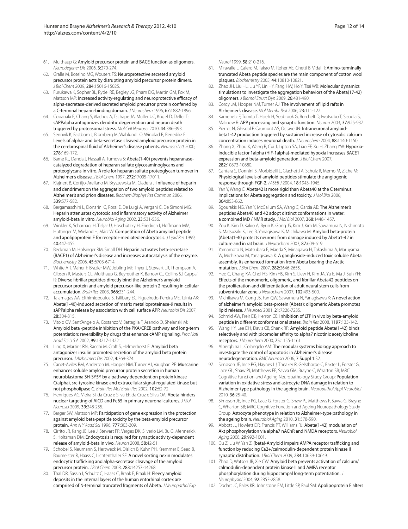- 61. Multhaup G: Amyloid precursor protein and BACE function as oligomers. Neurodegener Dis 2006, 3:270-274.
- 62. Gralle M, Botelho MG, Wouters FS: Neuroprotective secreted amyloid precursor protein acts by disrupting amyloid precursor protein dimers. J Biol Chem 2009, 284:15016-15025.
- 63. Furukawa K, Sopher BL, Rydel RE, Begley JG, Pham DG, Martin GM, Fox M, Mattson MP: Increased activity-regulating and neuroprotective efficacy of alpha-secretase-derived secreted amyloid precursor protein conferred by a C-terminal heparin-binding domain. J Neurochem 1996, 67:1882-1896.
- 64. Copanaki E, Chang S, Vlachos A, Tschäpe JA, Müller UC, Kögel D, Deller T: sAPPalpha antagonizes dendritic degeneration and neuron death triggered by proteasomal stress. Mol Cell Neurosci 2010, 44:386-393.
- 65. Sennvik K, Fastbom J, Blomberg M, Wahlund LO, Winblad B, Benedikz E: Levels of alpha- and beta-secretase cleaved amyloid precursor protein in the cerebrospinal fluid of Alzheimer's disease patients. Neurosci Lett 2000, 278:169-172.
- 66. Bame KJ, Danda J, Hassall A, Tumova S: Abeta(1-40) prevents heparanasecatalyzed degradation of heparan sulfate glycosaminoglycans and proteoglycans in vitro. A role for heparan sulfate proteoglycan turnover in Alzheimer's disease. J Biol Chem 1997, 272:17005-17011.
- 67. Klajnert B, Cortijo-Arellano M, Bryszewska M, Cladera J: Influence of heparin and dendrimers on the aggregation of two amyloid peptides related to Alzheimer's and prion diseases. Biochem Biophys Res Commun 2006, 339:577-582.
- 68. Bergamaschini L, Donarini C, Rossi E, De Luigi A, Vergani C, De Simoni MG: Heparin attenuates cytotoxic and inflammatory activity of Alzheimer amyloid-beta in vitro. Neurobiol Aging 2002, 23:531-536.
- 69. Winkler K, Scharnagl H, Tisljar U, Hoschützky H, Friedrich I, Hoffmann MM, Hüttinger M, Wieland H, März W: Competition of Abeta amyloid peptide and apolipoprotein E for receptor-mediated endocytosis. J Lipid Res 1999, 40:447-455.
- 70. Beckman M, Holsinger RM, Small DH: Heparin activates beta-secretase (BACE1) of Alzheimer's disease and increases autocatalysis of the enzyme. Biochemistry 2006, 45:6703-6714.
- 71. White AR, Maher F, Brazier MW, Jobling MF, Thyer J, Stewart LR, Thompson A, Gibson R, Masters CL, Multhaup G, Beyreuther K, Barrow CJ, Collins SJ, Cappai R: Diverse fibrillar peptides directly bind the Alzheimer's amyloid precursor protein and amyloid precursor-like protein 2 resulting in cellular accumulation. Brain Res 2003, 966:231-244.
- 72. Talamagas AA, Efthimiopoulos S, Tsilibary EC, Figueiredo-Pereira ME, Tzinia AK: Abeta(1-40)-induced secretion of matrix metalloproteinase-9 results in sAPPalpha release by association with cell surface APP. Neurobiol Dis 2007, 28:304-315.
- 73. Vitolo OV, Sant'Angelo A, Costanzo V, Battaglia F, Arancio O, Shelanski M: Amyloid beta -peptide inhibition of the PKA/CREB pathway and long-term potentiation: reversibility by drugs that enhance cAMP signaling. Proc Natl Acad Sci U S A 2002, 99:13217-13221.
- 74. Ling X, Martins RN, Racchi M, Craft S, Helmerhorst E: Amyloid beta antagonizes insulin promoted secretion of the amyloid beta protein precursor. J Alzheimers Dis 2002, 4:369-374.
- 75. Canet-Aviles RM, Anderton M, Hooper NM, Turner AJ, Vaughan PF: Muscarine enhances soluble amyloid precursor protein secretion in human neuroblastoma SH-SY5Y by a pathway dependent on protein kinase C(alpha), src-tyrosine kinase and extracellular signal-regulated kinase but not phospholipase C. Brain Res Mol Brain Res 2002, 102:62-72.
- 76. Henriques AG, Vieira SI, da Cruz e Silva EF, da Cruz e Silva OA: Abeta hinders nuclear targeting of AICD and Fe65 in primary neuronal cultures. J Mol Neurosci 2009, 39:248-255.
- 77. Barger SW, Mattson MP: Participation of gene expression in the protection against amyloid beta-peptide toxicity by the beta-amyloid precursor protein. Ann N Y Acad Sci 1996, 777:303-309.
- 78. Cirrito JR, Kang JE, Lee J, Stewart FR, Verges DK, Silverio LM, Bu G, Mennerick S, Holtzman DM: Endocytosis is required for synaptic activity-dependent release of amyloid-beta in vivo. Neuron 2008, 58:42-51.
- 79. Schöbel S, Neumann S, Hertweck M, Dislich B, Kuhn PH, Kremmer E, Seed B, Baumeister R, Haass C, Lichtenthaler SF: A novel sorting nexin modulates endocytic trafficking and alpha-secretase cleavage of the amyloid precursor protein. J Biol Chem 2008, 283:14257-14268.
- 80. Thal DR, Sassin I, Schultz C, Haass C, Braak E, Braak H: Fleecy amyloid deposits in the internal layers of the human entorhinal cortex are comprised of N-terminal truncated fragments of Abeta. J Neuropathol Exp

Neurol 1999, 58:210-216.

- 81. Miravalle L, Calero M, Takao M, Roher AE, Ghetti B, Vidal R: Amino-terminally truncated Abeta peptide species are the main component of cotton wool plaques. Biochemistry 2005, 44:10810-10821.
- Zhao JH, Liu HL, Liu YF, Lin HY, Fang HW, Ho Y, Tsai WB: Molecular dynamics simulations to investigate the aggregation behaviors of the Abeta(17-42) oligomers. J Biomol Struct Dyn 2009, 26:481-490.
- Cordy JM, Hooper NM, Turner AJ: The involvement of lipid rafts in Alzheimer's disease. Mol Membr Biol 2006, 23:111-122.
- 84. Kamenetz F, Tomita T, Hsieh H, Seabrook G, Borchelt D, Iwatsubo T, Sisodia S, Malinow R: APP processing and synaptic function. Neuron 2003, 37:925-937.
- 85. Pierrot N, Ghisdal P, Caumont AS, Octave JN: Intraneuronal amyloidbeta1-42 production triggered by sustained increase of cytosolic calcium concentration induces neuronal death. J Neurochem 2004, 88:1140-1150.
- 86. Zhang X, Zhou K, Wang R, Cui J, Lipton SA, Liao FF, Xu H, Zhang YW: Hypoxiainducible factor 1alpha (HIF-1alpha)-mediated hypoxia increases BACE1 expression and beta-amyloid generation. *J Biol Chem 2007*. 282:10873-10880.
- 87. Cantara S, Donnini S, Morbidelli L, Giachetti A, Schulz R, Memo M, Ziche M: Physiological levels of amyloid peptides stimulate the angiogenic response through FGF-2. FASEB J 2004, 18:1943-1945.
- 88. Yan Y, Wang C: Abeta42 is more rigid than Abeta40 at the C terminus: implications for Abeta aggregation and toxicity. J Mol Biol 2006, 364:853-862.
- 89. Sgourakis NG, Yan Y, McCallum SA, Wang C, Garcia AE: The Alzheimer's peptides Abeta40 and 42 adopt distinct conformations in water: a combined MD / NMR study. J Mol Biol 2007, 368:1448-1457.
- Zou K, Kim D, Kakio A, Byun K, Gong JS, Kim J, Kim M, Sawamura N, Nishimoto S, Matsuzaki K, Lee B, Yanagisawa K, Michikawa M: Amyloid beta-protein (Abeta)1-40 protects neurons from damage induced by Abeta1-42 in culture and in rat brain. J Neurochem 2003, 87:609-619.
- 91. Yamamoto N, Matsubara E, Maeda S, Minagawa H, Takashima A, Maruyama W, Michikawa M, Yanagisawa K: A ganglioside-induced toxic soluble Abeta assembly. Its enhanced formation from Abeta bearing the Arctic mutation. J Biol Chem 2007, 282:2646-2655.
- 92. Heo C, Chang KA, Choi HS, Kim HS, Kim S, Liew H, Kim JA, Yu E, Ma J, Suh YH: Effects of the monomeric, oligomeric, and fibrillar Abeta42 peptides on the proliferation and differentiation of adult neural stem cells from subventricular zone. J Neurochem 2007, 102:493-500.
- 93. Michikawa M, Gong JS, Fan QW, Sawamura N, Yanagisawa K: A novel action of alzheimer's amyloid beta-protein (Abeta): oligomeric Abeta promotes lipid release. J Neurosci 2001, 21:7226-7235.
- 94. Schmid AW, Freir DB, Herron CE: Inhibition of LTP in vivo by beta-amyloid peptide in different conformational states. Brain Res 2008, 1197:135-142.
- 95. Wang HY, Lee DH, Davis CB, Shank RP: Amyloid peptide Abeta(1-42) binds selectively and with picomolar affinity to alpha7 nicotinic acetylcholine receptors. J Neurochem 2000, 75:1155-1161.
- 96. Alberghina L, Colangelo AM: The modular systems biology approach to investigate the control of apoptosis in Alzheimer's disease neurodegeneration. BMC Neurosci 2006, 7 Suppl 1:S2.
- 97. Simpson JE, Ince PG, Haynes LJ, Theaker R, Gelsthorpe C, Baxter L, Forster G, Lace GL, Shaw PJ, Matthews FE, Savva GM, Brayne C, Wharton SB; MRC Cognitive Function and Ageing Neuropathology Study Group: Population variation in oxidative stress and astrocyte DNA damage in relation to Alzheimer-type pathology in the ageing brain. Neuropathol Appl Neurobiol 2010, 36:25-40.
- 98. Simpson JE, Ince PG, Lace G, Forster G, Shaw PJ, Matthews F, Savva G, Brayne C, Wharton SB; MRC Cognitive Function and Ageing Neuropathology Study Group: Astrocyte phenotype in relation to Alzheimer-type pathology in the ageing brain. Neurobiol Aging 2010, 31:578-590.
- 99. Abbott JJ, Howlett DR, Francis PT, Williams RJ: Abeta(1-42) modulation of Akt phosphorylation via alpha7 nAChR and NMDA receptors. Neurobiol Aging 2008, 29:992-1001.
- 100. Gu Z, Liu W, Yan Z: {beta}-Amyloid impairs AMPA receptor trafficking and function by reducing Ca2+/calmodulin-dependent protein kinase II synaptic distribution. J Biol Chem 2009, 284:10639-10649.
- 101. Zhao D, Watson JB, Xie CW: Amyloid beta prevents activation of calcium/ calmodulin-dependent protein kinase II and AMPA receptor phosphorylation during hippocampal long-term potentiation. J Neurophysiol 2004, 92:2853-2858.
- 102. Dodart JC, Bales KR, Johnstone EM, Little SP, Paul SM: Apolipoprotein E alters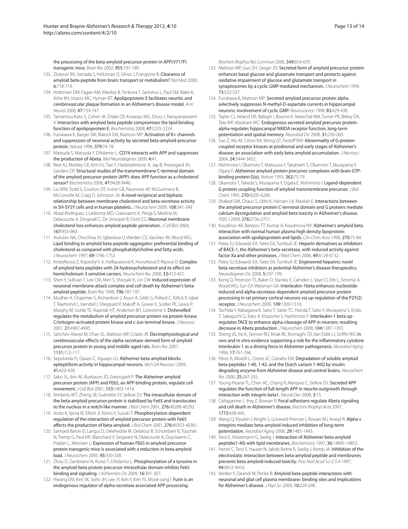the processing of the beta-amyloid precursor protein in APP(V717F) transgenic mice. Brain Res 2002, 955:191-199.

- 103. Zlokovic BV, Yamada S, Holtzman D, Ghiso J, Frangione B: Clearance of amyloid beta-peptide from brain: transport or metabolism? Nat Med 2000, 6:718-719.
- 104. Holtzman DM, Fagan AM, Mackey B, Tenkova T, Sartorius L, Paul SM, Bales K, Ashe KH, Irizarry MC, Hyman BT: Apolipoprotein E facilitates neuritic and cerebrovascular plaque formation in an Alzheimer's disease model. Ann Neurol 2000, 47:739-747.
- 105. Tamamizu-Kato S, Cohen JK, Drake CB, Kosaraju MG, Drury J, Narayanaswami V: Interaction with amyloid beta peptide compromises the lipid binding function of apolipoprotein E. Biochemistry 2008, 47:5225-5234.
- 106. Furukawa K, Barger SW, Blalock EM, Mattson MP: Activation of K+ channels and suppression of neuronal activity by secreted beta-amyloid-precursor protein. Nature 1996, 379:74-78.
- 107. Matsuda S, Matsuda Y, D'Adamio L: CD74 interacts with APP and suppresses the production of Abeta. Mol Neurodegener 2009, 4:41.
- 108. Beel AJ, Mobley CK, Kim HJ, Tian F, Hadziselimovic A, Jap B, Prestegard JH, Sanders CR: Structural studies of the transmembrane C-terminal domain of the amyloid precursor protein (APP): does APP function as a cholesterol sensor? Biochemistry 2008, 47:9428-9446.
- 109. Liu WW, Todd S, Coulson DT, Irvine GB, Passmore AP, McGuinness B, McConville M, Craig D, Johnston JA: A novel reciprocal and biphasic relationship between membrane cholesterol and beta-secretase activity in SH-SY5Y cells and in human platelets. J Neurochem 2009, 108:341-349.
- 110. Abad-Rodriguez J, Ledesma MD, Craessaerts K, Perga S, Medina M, Delacourte A, Dingwall C, De Strooper B, Dotti CG: Neuronal membrane cholesterol loss enhances amyloid peptide generation. J Cell Biol 2004, 167:953-960.
- 111. Avdulov NA, Chochina SV, Igbavboa U, Warden CS, Vassiliev AV, Wood WG: Lipid binding to amyloid beta-peptide aggregates: preferential binding of cholesterol as compared with phosphatidylcholine and fatty acids. J Neurochem 1997, 69:1746-1752.
- 112. Kristofiková Z, Kopecký V Jr, Hofbauerová K, Hovorková P, Rípová D: Complex of amyloid beta peptides with 24-hydroxycholesterol and its effect on hemicholinium-3 sensitive carriers. Neurochem Res 2008, 33:412-421.
- 113. Shen Y, Sullivan T, Lee CM, Meri S, Shiosaki K, Lin CW: Induced expression of neuronal membrane attack complex and cell death by Alzheimer's betaamyloid peptide. Brain Res 1998, 796:187-197.
- 114. Mudher A, Chapman S, Richardson J, Asuni A, Gibb G, Pollard C, Killick R, Iqbal T, Raymond L, Varndell I, Sheppard P, Makoff A, Gower E, Soden PE, Lewis P, Murphy M, Golde TE, Rupniak HT, Anderton BH, Lovestone S: Dishevelled regulates the metabolism of amyloid precursor protein via protein kinase C/mitogen-activated protein kinase and c-Jun terminal kinase. J Neurosci 2001, 21:4987-4995.
- 115. Sánchez-Alavez M, Chan SL, Mattson MP, Criado JR: Electrophysiological and cerebrovascular effects of the alpha-secretase-derived form of amyloid precursor protein in young and middle-aged rats. Brain Res 2007, 1131:112-117.
- 116. Sepulveda FJ, Opazo C, Aguayo LG: Alzheimer beta-amyloid blocks epileptiform activity in hippocampal neurons. Mol Cell Neurosci 2009, 41:420-428.
- 117. Sabo SL, Ikin AF, Buxbaum JD, Greengard P: The Alzheimer amyloid precursor protein (APP) and FE65, an APP-binding protein, regulate cell movement. J Cell Biol 2001, 153:1403-1414.
- 118. Kimberly WT, Zheng JB, Guénette SY, Selkoe DJ: The intracellular domain of the beta-amyloid precursor protein is stabilized by Fe65 and translocates to the nucleus in a notch-like manner. J Biol Chem 2001, 276:40288-40292.
- 119. Ando K, Iijima KI, Elliott JI, Kirino Y, Suzuki T: Phosphorylation-dependent regulation of the interaction of amyloid precursor protein with Fe65 affects the production of beta-amyloid. J Biol Chem 2001, 276:40353-40361.
- 120. Santiard-Baron D, Langui D, Delehedde M, Delatour B, Schombert B, Touchet N, Tremp G, Paul MF, Blanchard V, Sergeant N, Delacourte A, Duyckaerts C, Pradier L, Mercken L: Expression of human FE65 in amyloid precursor protein transgenic mice is associated with a reduction in beta-amyloid load. J Neurochem 2005, 93:330-338.
- 121. Zhou D, Zambrano N, Russo T, D'Adamio L: Phosphorylation of a tyrosine in the amyloid-beta protein precursor intracellular domain inhibits Fe65 binding and signaling. J Alzheimers Dis 2009, 16:301-307.
- 122. Hwang EM, Kim SK, Sohn JH, Lee JY, Kim Y, Kim YS, Mook-Jung I: Furin is an endogenous regulator of alpha-secretase associated APP processing.

Biochem Biophys Res Commun 2006, 349:654-659.

- 123. Mattson MP, Guo ZH, Geiger JD: Secreted form of amyloid precursor protein enhances basal glucose and glutamate transport and protects against oxidative impairment of glucose and glutamate transport in synaptosomes by a cyclic GMP-mediated mechanism. J Neurochem 1999, 73:532-537.
- 124. Furukawa K, Mattson MP: Secreted amyloid precursor protein alpha selectively suppresses N-methyl-D-aspartate currents in hippocampal neurons: involvement of cyclic GMP. Neuroscience 1998, 83:429-438.
- 125. Taylor CJ, Ireland DR, Ballagh I, Bourne K, Marechal NM, Turner PR, Bilkey DK, Tate WP, Abraham WC: Endogenous secreted amyloid precursor proteinalpha regulates hippocampal NMDA receptor function, long-term potentiation and spatial memory. Neurobiol Dis 2008, 31:250-260.
- 126. Suo Z, Wu M, Citron BA, Wong GT, Festoff BW: Abnormality of G-proteincoupled receptor kinases at prodromal and early stages of Alzheimer's disease: an association with early beta-amyloid accumulation. J Neurosci 2004, 24:3444-3452.
- 127. Nishimoto I, Okamoto T, Matsuura Y, Takahashi S, Okamoto T, Murayama Y, Ogata E: Alzheimer amyloid protein precursor complexes with brain GTPbinding protein G(o). Nature 1993, 362:75-79.
- 128. Okamoto T, Takeda S, Murayama Y, Ogata E, Nishimoto I: Ligand-dependent G protein coupling function of amyloid transmembrane precursor. J Biol Chem 1995, 270:4205-4208.
- 129. Shaked GM, Chauv S, Ubhi K, Hansen LA, Masliah E: Interactions between the amyloid precursor protein C-terminal domain and G proteins mediate calcium dysregulation and amyloid beta toxicity in Alzheimer's disease. FEBS J 2009, 276:2736-2751.
- 130. Koudinov AR, Berezov TT, Kumar A, Koudinova NV: Alzheimer's amyloid beta interaction with normal human plasma high density lipoprotein: association with apolipoprotein and lipids. Clin Chim Acta 1998, 270:75-84.
- 131. Patey SJ, Edwards EA, Yates EA, Turnbull JE: Heparin derivatives as inhibitors of BACE-1, the Alzheimer's beta-secretase, with reduced activity against factor Xa and other proteases. J Med Chem 2006, 49:6129-6132.
- 132. Patey SJ, Edwards EA, Yates EA, Turnbull JE: Engineered heparins: novel beta-secretase inhibitors as potential Alzheimer's disease therapeutics. Neurodegener Dis 2008, 5:197-199.
- 133. Kong Q, Peterson TS, Baker O, Stanley E, Camden J, Seye CI, Erb L, Simonyi A, Wood WG, Sun GY, Weisman GA: Interleukin-1 beta enhances nucleotideinduced and alpha-secretase-dependent amyloid precursor protein processing in rat primary cortical neurons via up-regulation of the P2Y(2) receptor. J Neurochem 2009, 109:1300-1310.
- 134. Tachida Y, Nakagawa K, Saito T, Saido TC, Honda T, Saito Y, Murayama S, Endo T, Sakaguchi G, Kato A, Kitazume S, Hashimoto Y: Interleukin-1 beta upregulates TACE to enhance alpha-cleavage of APP in neurons: resulting decrease in Abeta production. J Neurochem 2008, 104:1387-1393.
- 135. Sheng JG, Ito K, Skinner RD, Mrak RE, Rovnaghi CR, Van Eldik LJ, Griffin WS: In vivo and in vitro evidence supporting a role for the inflammatory cytokine interleukin-1 as a driving force in Alzheimer pathogenesis. Neurobiol Aging 1996, 17:761-766.
- 136. Pérez A, Morelli L, Cresto JC, Castaño EM: Degradation of soluble amyloid beta-peptides 1-40, 1-42, and the Dutch variant 1-40Q by insulin degrading enzyme from Alzheimer disease and control brains. Neurochem Res 2000, 25:247-255.
- 137. Young-Pearse TL, Chen AC, Chang R, Marquez C, Selkoe DJ: Secreted APP regulates the function of full-length APP in neurite outgrowth through interaction with integrin beta1. Neural Dev 2008, 3:15.
- 138. Caltagarone J, Jing Z, Bowser R: Focal adhesions regulate Abeta signaling and cell death in Alzheimer's disease. Biochim Biophys Acta 2007, 1772:438-445.
- 139. Wang Q, Klyubin I, Wright S, Griswold-Prenner I, Rowan MJ, Anwyl R: Alpha v integrins mediate beta-amyloid induced inhibition of long-term potentiation. Neurobiol Aging 2008, 29:1485-1493.
- 140. Terzi E, Holzemann G, Seelig J: Interaction of Alzheimer beta-amyloid peptide(1-40) with lipid membranes. Biochemistry 1997, 36:14845-14852.
- 141. Hertel C, Terzi E, Hauser N, Jakob-Rotne R, Seelig J, Kemp JA: Inhibition of the electrostatic interaction between beta-amyloid peptide and membranes prevents beta-amyloid-induced toxicity. Proc Natl Acad Sci USA 1997, 94:9412-9416.
- 142. Verdier Y, Zarandi M, Penke B: Amyloid beta-peptide interactions with neuronal and glial cell plasma membrane: binding sites and implications for Alzheimer's disease. J Pept Sci 2004, 10:229-248.